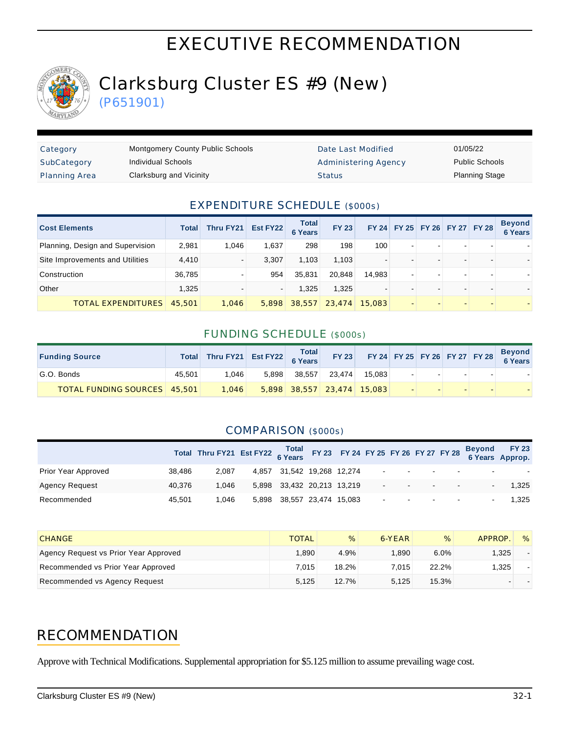# EXECUTIVE RECOMMENDATION



# Clarksburg Cluster ES #9 (New)

(P651901)

| Category             | <b>Montgomery County Public Schools</b> | Date Last Modified          | 01/05/22              |
|----------------------|-----------------------------------------|-----------------------------|-----------------------|
| SubCategory          | Individual Schools                      | <b>Administering Agency</b> | <b>Public Schools</b> |
| <b>Planning Area</b> | Clarksburg and Vicinity                 | <b>Status</b>               | <b>Planning Stage</b> |

#### EXPENDITURE SCHEDULE (\$000s)

| <b>Cost Elements</b>             | Total  | <b>Thru FY21</b> | Est FY22 | <b>Total</b><br><b>6 Years</b> | <b>FY 23</b> |                          |                          | FY 24 FY 25 FY 26 FY 27 FY 28 |                |   | <b>Beyond</b><br>6 Years |
|----------------------------------|--------|------------------|----------|--------------------------------|--------------|--------------------------|--------------------------|-------------------------------|----------------|---|--------------------------|
| Planning, Design and Supervision | 2,981  | 1.046            | 1,637    | 298                            | 198          | 100                      | $\blacksquare$           | $\overline{\phantom{0}}$      | -              |   |                          |
| Site Improvements and Utilities  | 4,410  |                  | 3.307    | 1.103                          | 1.103        | $\,$                     |                          |                               |                | - |                          |
| Construction                     | 36,785 |                  | 954      | 35,831                         | 20,848       | 14,983                   | $\blacksquare$           | $\overline{\phantom{0}}$      | $\blacksquare$ | ۰ |                          |
| Other                            | 1.325  |                  |          | 1.325                          | 1.325        | $\overline{\phantom{0}}$ |                          |                               |                |   |                          |
| <b>TOTAL EXPENDITURES</b>        | 45,501 | 1,046            | 5,898    | 38,557                         | 23,474       | 15,083                   | $\overline{\phantom{a}}$ | $\overline{\phantom{a}}$      | -              | - |                          |

### FUNDING SCHEDULE (\$000s)

| <b>Funding Source</b>               | Total  | Thru FY21 Est FY22 6 Years |       | <b>Total</b> | <b>FY 23</b>               |        |  | FY 24 FY 25 FY 26 FY 27 FY 28 | <b>Beyond</b><br>6 Years |
|-------------------------------------|--------|----------------------------|-------|--------------|----------------------------|--------|--|-------------------------------|--------------------------|
| G.O. Bonds                          | 45.501 | 1.046                      | 5.898 | 38.557       | 23.474                     | 15.083 |  |                               |                          |
| <b>TOTAL FUNDING SOURCES</b> 45,501 |        | 1.046                      |       |              | 5,898 38,557 23,474 15,083 |        |  |                               |                          |

### COMPARISON (\$000s)

|                       |        | Total Thru FY21 Est FY22 6 Years FY 23 FY 24 FY 25 FY 26 FY 27 FY 28 |       |                            |  |        |  |                                              |                          | Beyond FY 23<br>6 Years Approp. |
|-----------------------|--------|----------------------------------------------------------------------|-------|----------------------------|--|--------|--|----------------------------------------------|--------------------------|---------------------------------|
| Prior Year Approved   | 38.486 | 2.087                                                                |       | 4,857 31,542 19,268 12,274 |  |        |  | the control of the control of the control of | $\sim$                   |                                 |
| <b>Agency Request</b> | 40.376 | 1.046                                                                |       | 5,898 33,432 20,213 13,219 |  | $\sim$ |  | $\sim$                                       | $\sim$                   | 1.325                           |
| Recommended           | 45.501 | 1.046                                                                | 5.898 | 38,557 23,474 15,083       |  |        |  | the control of the control of the control of | $\overline{\phantom{a}}$ | 1.325                           |

| <b>CHANGE</b>                         | <b>TOTAL</b> | %        | 6-YEAR | %     | APPROP. | $\%$ |
|---------------------------------------|--------------|----------|--------|-------|---------|------|
| Agency Request vs Prior Year Approved | 1.890        | 4.9%     | .890   | 6.0%  | 1.325   |      |
| Recommended vs Prior Year Approved    | 7.015        | $18.2\%$ | 7.015  | 22.2% | 1.325   |      |
| Recommended vs Agency Request         | 5.125        | 12.7%    | 5.125  | 15.3% |         |      |

## RECOMMENDATION

Approve with Technical Modifications. Supplemental appropriation for \$5.125 million to assume prevailing wage cost.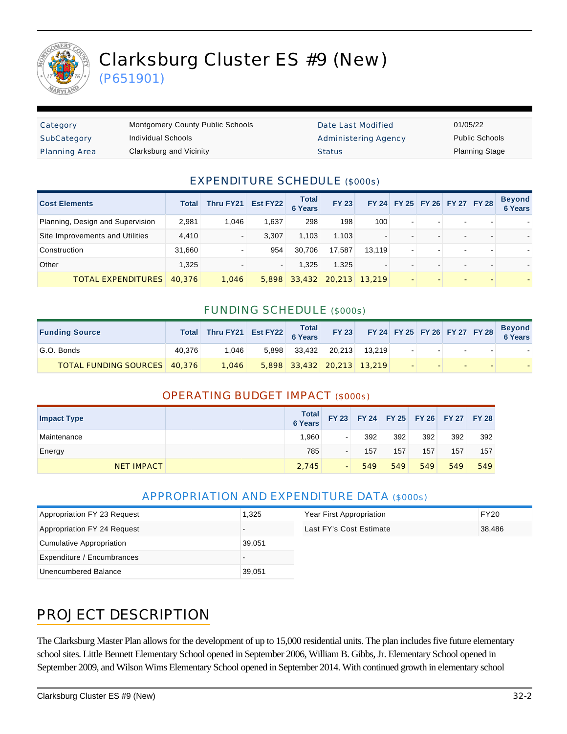

(P651901)

| Category             | <b>Montgomery County Public Schools</b> | Date Last Modified   | 01/05/22              |
|----------------------|-----------------------------------------|----------------------|-----------------------|
| SubCategory          | Individual Schools                      | Administering Agency | <b>Public Schools</b> |
| <b>Planning Area</b> | Clarksburg and Vicinity                 | <b>Status</b>        | <b>Planning Stage</b> |

### EXPENDITURE SCHEDULE (\$000s)

| <b>Cost Elements</b>             | Total  | Thru FY21 | Est FY22 | <b>Total</b><br><b>6 Years</b> | <b>FY 23</b> |                |                          | FY 24 FY 25 FY 26 FY 27 FY 28 |                          |   | <b>Beyond</b><br>6 Years |
|----------------------------------|--------|-----------|----------|--------------------------------|--------------|----------------|--------------------------|-------------------------------|--------------------------|---|--------------------------|
| Planning, Design and Supervision | 2.981  | 1.046     | 1.637    | 298                            | 198          | 100            | $\blacksquare$           | $\sim$                        | $\overline{\phantom{a}}$ | - |                          |
| Site Improvements and Utilities  | 4,410  |           | 3.307    | 1.103                          | 1.103        | $\overline{a}$ |                          | $\overline{\phantom{0}}$      |                          |   |                          |
| Construction                     | 31,660 |           | 954      | 30.706                         | 17.587       | 13.119         | $\blacksquare$           | $\overline{a}$                | $\overline{\phantom{a}}$ |   |                          |
| Other                            | 1.325  |           |          | 1.325                          | 1.325        | $\blacksquare$ | $\overline{\phantom{0}}$ | $\overline{\phantom{0}}$      | $\overline{\phantom{a}}$ | - |                          |
| <b>TOTAL EXPENDITURES</b>        | 40.376 | 1.046     | 5.898    | 33,432                         | 20,213       | 13,219         |                          |                               |                          |   |                          |

#### FUNDING SCHEDULE (\$000s)

| <b>Funding Source</b>               |        | Total Thru FY21 Est FY22 6 Years |       |                              | <b>FY 23</b> |        |        |        | FY 24 FY 25 FY 26 FY 27 FY 28 | <b>Beyond<br/>6 Years</b> |
|-------------------------------------|--------|----------------------------------|-------|------------------------------|--------------|--------|--------|--------|-------------------------------|---------------------------|
| G.O. Bonds                          | 40.376 | 1.046                            | 5.898 | 33.432                       | 20.213       | 13.219 | $\sim$ |        | $\sim$                        |                           |
| <b>TOTAL FUNDING SOURCES</b> 40.376 |        | 1.046                            |       | $5,898$ 33,432 20,213 13,219 |              |        |        | $\sim$ |                               |                           |

### OPERATING BUDGET IMPACT (\$000s)

| <b>Impact Type</b> | <b>Total</b><br>6 Years |                          | FY 23 FY 24 FY 25 FY 26 FY 27 |     |     |     | <b>FY 28</b> |
|--------------------|-------------------------|--------------------------|-------------------------------|-----|-----|-----|--------------|
| Maintenance        | 1.960                   | $\sim$                   | 392                           | 392 | 392 | 392 | 392          |
| Energy             | 785                     | $\overline{\phantom{a}}$ | 157                           | 157 | 157 | 157 | 157          |
| <b>NET IMPACT</b>  | 2.745                   | $\overline{\phantom{0}}$ | 549                           | 549 | 549 | 549 | 549          |

### APPROPRIATION AND EXPENDITURE DATA (\$000s)

| Appropriation FY 23 Request | 1.325  | Year First Appropriation | <b>FY20</b> |
|-----------------------------|--------|--------------------------|-------------|
| Appropriation FY 24 Request |        | Last FY's Cost Estimate  | 38,486      |
| Cumulative Appropriation    | 39.051 |                          |             |
| Expenditure / Encumbrances  |        |                          |             |
| Unencumbered Balance        | 39,051 |                          |             |

## PROJECT DESCRIPTION

The Clarksburg Master Plan allows for the development of up to 15,000 residential units. The plan includes five future elementary school sites. Little Bennett Elementary School opened in September 2006, William B. Gibbs, Jr. Elementary School opened in September 2009, and Wilson Wims Elementary School opened in September 2014. With continued growth in elementary school